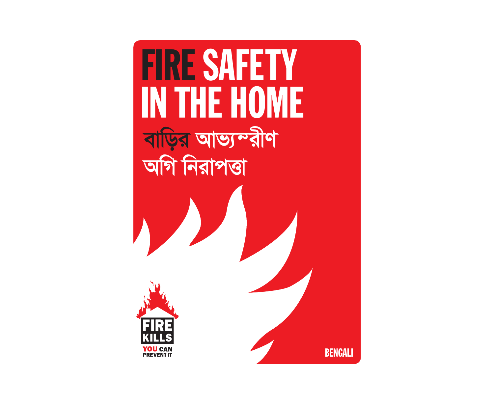## **FIRE SAFETY IN THE HOME** বাড়ির আভ্যন্দ্রীণ पनि निर्वानला



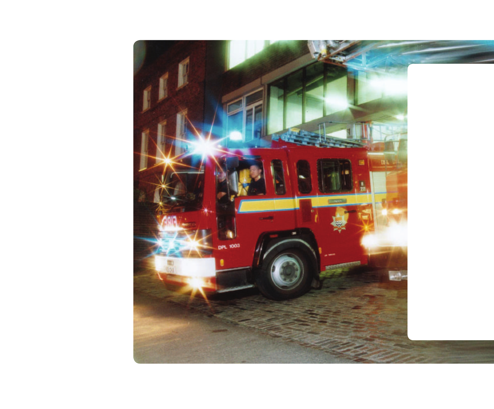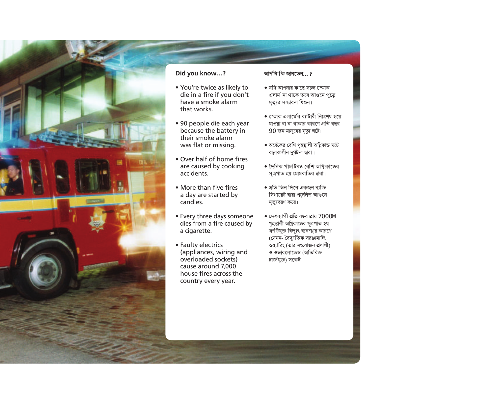#### Did vou know...?

- You're twice as likely to die in a fire if you don't have a smoke alarm that works.
- 90 people die each year because the battery in their smoke alarm was flat or missing.
- Over half of home fires are caused by cooking accidents.
- More than five fires a day are started by candles.
- Every three days someone dies from a fire caused by a cigarette.
- Faulty electrics (appliances, wiring and overloaded sockets) cause around 7,000 house fires across the country every year.

আপনি কি জানতেন ... ?

- যদি আপনার কাছে সচল স্মোক এলাৰ্ম না থাকে তবে আগুনে পডে মত্যুর সম্ভাবনা দ্বিগুন।
- স্মোক এলার্মের ব্যাটারী নিঃশেষ হয়ে যাওয়া বা না থাকার কারণে প্রতি বছর  $90$  জন মানষের মত্য ঘটে।
- অর্ধেকের বেশি গহস্থালী অগ্নিকান্ড ঘটে রান্নাকালীন দর্ঘটনা দ্বারা।
- দৈনিক পাঁচটিরও বেশি অগ্মিকান্ডের সত্ৰপাত হয় মোমবাতির দ্বারা।
- প্ৰতি তিন দিনে একজন ব্যক্তি সিগারেট দ্বারা প্রজলিত আগুনে মত্যুবরণ করে।
- $\bullet$  দেশব্যাপী প্রতি বছর প্রায়  $7000$ গহস্তালী অগ্নিকান্ডের সত্রপাত হয় ক্রণ্টিযুক্ত বিদ্যুৎ ব্যবস্থার কারণে (যেমন- বৈদ্যতিক সরঞ্জামাদি. ওয়্যারিং (তার সংযোজন প্রণালী) ও ওভারলোডেড (অতিরিক্ত চাৰ্জযুক্ত) সকেট।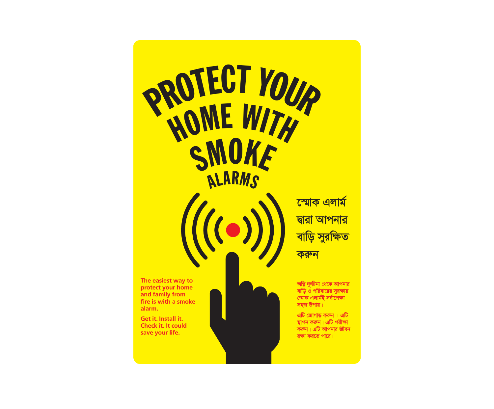**NOTECT YOUP** SMOKA **NLARM.S** 

The easiest way to protect your home and family from fire is with a smoke alarm.

**Get it Install it Check it. It could** save vour life.

স্মোক এলার্ম দ্বারা আপনার বাড়ি সুরক্ষিত করুন

অগ্নি দর্ঘটনা থেকে আপনার বাড়ি ও পরিবারের সুরক্ষায় স্মোক এলাৰ্মই সৰ্বাপেক্ষা <mark>সহজ উপায়।</mark>

 $\frac{1}{2}$ এটি জোগাড করুন । এটি <mark>স্</mark>তাপন করুন। এটি পরীক্ষা করুন। এটি আপনার জীবন <mark>বক্ষা করতে পারে।</mark>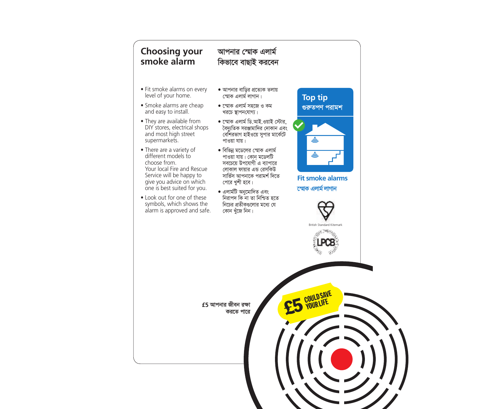## **Choosing your smoke alarm**

- Fit smoke alarms on every level of your home.
- Smoke alarms are cheap and easy to install.
- They are available from DIY stores, electrical shops and most high street supermarkets.
- There are a variety of different models to choose from. Your local Fire and Rescue Service will be happy to give you advice on which one is best suited for you.
- Look out for one of these symbols, which shows the alarm is approved and safe.

*আপ*নার স্মোক এলার্ম *কি*ভাবে বাছাই করবেন

- আপনার বাড়ির প্রত্যেক তলায় শ্মোক এলাৰ্ম লাগান।
- $\bullet$  স্মোক এলার্ম সহজে ও কম খরচে স্থাপনযোগ্য।
- স্মোক এলার্ম ডি.আই.ওয়াই স্টোর,<br>ৌবেদ্যতিক সরঞ্জামাদির দোকান এবং *†ewkifvM nvBI‡q mcy vi gv‡K‡© U*  পাওয়া যায়।
- বিভিন্ন মডেলের স্মোক এলার্ম পাওয়া যায়। কোন মডেলটি *সবচে*য়ে উপযোগী এ ব্যাপারে *(*লাকাল ফাযার এন্ড রেসকিউ *সা*ৰ্ভিস আপনাকে পৱামৰ্শ দিতে পেরে খশী হবে।
- এলার্মটি অনুমোদিত এবং *নিৱাপদ কি না তা নিশ্চিত হতে নিচের প্রতীকগুলোর মধ্যে যে* কোন খঁজে নিন।

## গুরুতপণ পরামশ **Top tip**



### **Fit smoke alarms**  *‡¯§vK Gjvg© jvMvb*



British Standard Kitemark



£5 COULD SAVE YOUR LIFE

**£5** *Avcbvi Rxeb i¶v*  করতে পারে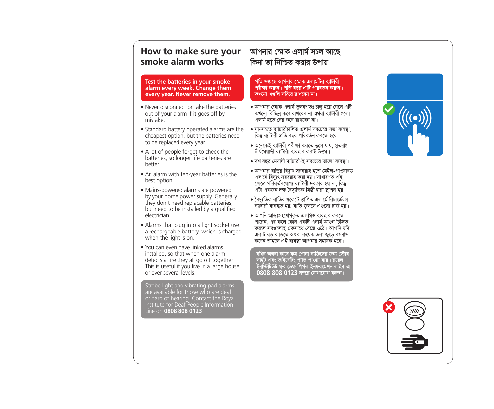## **How to make sure your smoke alarm works**

#### **Test the batteries in your smoke alarm every week. Change them every year. Never remove them.**

- Never disconnect or take the batteries out of your alarm if it goes off by mistake.
- Standard battery operated alarms are the cheapest option, but the batteries need to be replaced every year.
- A lot of people forget to check the batteries, so longer life batteries are better.
- An alarm with ten-year batteries is the best option.
- Mains-powered alarms are powered by your home power supply. Generally they don't need replacable batteries, but need to be installed by a qualified electrician.
- Alarms that plug into a light socket use a rechargeable battery, which is charged when the light is on.
- You can even have linked alarms installed, so that when one alarm detects a fire they all go off together. This is useful if you live in a large house or over several levels.

Strobe light and vibrating pad alarms are available for those who are deaf or hard of hearing. Contact the Royal Institute for Deaf People Information Line on **0808 808 0123** 

## *Avcbvi †¯§vK Gjvg© mPj Av‡Q কিনা তা নিশ্চিত করার উপায়*

<u>পাত স্প্তাহে আপনাুর স্মোক এলামুটির ব্যাটারী</u> পরীক্ষা করুন । পুতি বছর এটি পরিবতন করুন। কখনো এগুলি সরিয়ে রাখবেন না।

- আপনার স্মোক এলার্ম ভুলবশতঃ চালু হয়ে গেলে এটি কখনো বিচ্ছিন্ন করে রাখবেন না অথবা ব্যাটারী গুলো এলার্ম হতে বের করে রাখবেন না।
- মানসম্মত ব্যাটারীচালিত এলার্ম সবচেয়ে সস্তা ব্যবস্থা,<br>কিন্তু ব্যাটারী প্রতি বছর পরিবর্তন করতে হবে।
- অনেকেই ব্যাটারী পরীক্ষা করতে ভলে যায়, সতরাং  $\widehat{\mathsf{R}}$ র্ঘমেয়াদী ব্যাটারী ব্যবহার করাই উত্তম।
- দশ বছর মেয়াদী ব্যাটারী-ই সবচেয়ে ভালো ব্যবস্থা।
- আপনার বাডির বিদ্যুৎ সরবরাহ হতে মেইন্স-পাওয়ারড এলাৰ্মে বিদ্যৎ সৱবঁৱাহ কৱা হয়। সাধাৱণত এই *(*ক্ষত্রে পরিবর্তনযোগ্য ব্যাটারী দরকার হয় না, কিন্তু এটা একজন দক্ষ বৈদ্যুতিক মিস্ত্ৰী দ্বারা স্থাপন হয়।
- *‰e`¨ywZK evwZi m‡K‡U ¯v' wcZ Gjv‡g© wiPv‡Re© j*  ব্যাটারী ব্যবহৃত হয়, বাতি জললে এগুলো চার্জ হয়।
- আপনি আন্তঃসংযোগকত এলার্মও ব্যবহার করতে *cv‡ib, Gi d‡j †Kvb GKwU Gjvg© Av¸b wPwýZ*  করলে সবগুলোই একসাথে বেজে ওঠে। আপনি যদি *GKwU eo evwo‡Z A\_ev K‡qK Zjv R‡yo emevm*  করেন তাহলে এই ব্যবস্তা আপনার সহায়ক হবে।

ইন্স্টিটিউট ফর ডেফ পিপল ইনফরমেশন লাইন এ *ব*ধির অথবা কানে কম শোনা ব্যক্তিদের জন্য স্টোব লাইট এবং ভাইবেটিং প্যাড পাওয়া যায়। রয়েল **0808 808 0123 নম্বে যোগাযোগ করুন।**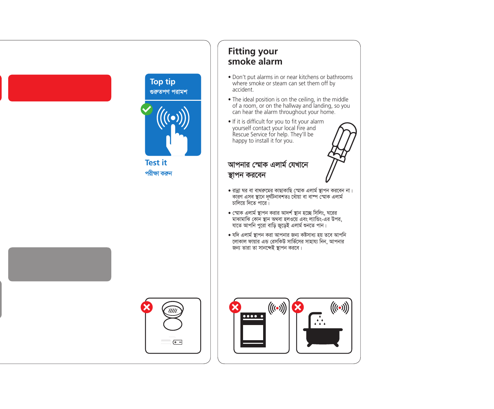## গুরুতপণ পরামশ **Top tip**



**Test it**  পরীক্ষা করুন



## **Fitting your smoke alarm**

- Don't put alarms in or near kitchens or bathrooms where smoke or steam can set them off by accident.
- The ideal position is on the ceiling, in the middle of a room, or on the hallway and landing, so you can hear the alarm throughout your home.
- If it is difficult for you to fit your alarm yourself contact your local Fire and Rescue Service for help. They'll be happy to install it for you.

## *Avcbvi †¯§vK Gjvg© †hLv‡b*

*¯v' cb Ki‡eb* 

- রান্না ঘর বা বাথরুমের কাছাকাছি স্মোক এলার্ম স্থাপন করবেন না। *কারণ এসব স্থানে দূর্ঘটনাবশতঃ* ধোঁয়া বা বাম্প স্মোক এলার্ম  $\frac{1}{\ln(2)}$  ভালিয়ে দিতে পাবে।
- $\bullet$  স্মোক এলার্ম স্থাপন করার আদর্শ স্থান হচ্ছে সিলিং, ঘরের *মাঝামাঝি কোন স্থান অথবা হলও*য়ে এবং ল্যান্ডিং-এর উপর যাতে আপনি পরো বাডি জডেই এলার্ম শুনতে পান।
- যদি এলার্ম স্থাপন করা আপনার জন্য কষ্টসাধ্য হয় তবে আপনি  $\tau$ লাকাল ফায়ার এন্ড রেসকিউ সার্ভিসের সাহায্য নিন, আপনার জন্য তারা তা সানন্দেই স্থাপন করবে।

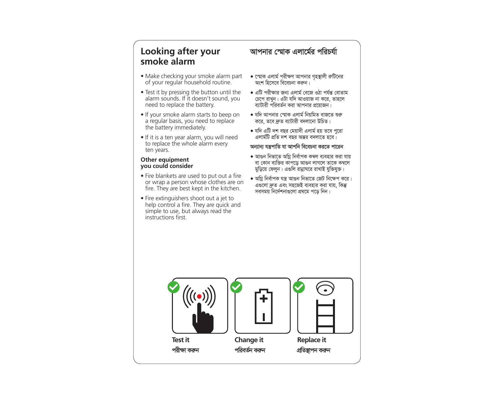## *আপ*নার স্মোক এলার্মের পরিচর্যা

## **Looking after your smoke alarm**

- Make checking your smoke alarm part of your regular household routine.
- Test it by pressing the button until the alarm sounds. If it doesn't sound, you need to replace the battery.
- If your smoke alarm starts to beep on a regular basis, you need to replace the battery immediately.
- If it is a ten year alarm, you will need to replace the whole alarm every ten years.

#### **Other equipment you could consider**

- Fire blankets are used to put out a fire or wrap a person whose clothes are on fire. They are best kept in the kitchen.
- Fire extinguishers shoot out a jet to help control a fire. They are quick and simple to use, but always read the instructions first.
- $\bullet$  স্মোক এলার্ম পরীক্ষণ আপনার গহস্তালী রুটিনের অংশ হিসেবে বিবেচনা করুন।
- $\bullet$  এটি পরীক্ষার জন্য এলার্ম বেজে ওঠা পর্যন্ত বোতাম চেপে রাখন। এটা যদি আওয়াজ না করে, তাহলে ব্যাটারী পরিবর্তন করা আপনার প্রয়োজন।
- $\bullet$  যদি আপনাব *স্মো*ক এলাৰ্ম নিয়মিত বাজতে শুক করে, তবে দত ব্যাটারী বদলানো উচিত।
- যদি এটি দশ বছর মেয়াদী এলার্ম হয় তবে পরো এলার্মটি প্রতি দশ বছর অন্তর বদলাতে হবে।

#### <u>অন্যান্য যন্ত্ৰপাতি যা আপনি বিবেচনা কবতে পাবেন</u>

- আঞ্চন নিভাতে অগ্নি নিৰ্বাপক কম্বল ব্যবহার করা যায বা কোন ব্যক্তির কাপডে আগুন লাগলে তাকে কম্বলে মুড়িয়ে ফেলুন। এগুলি রান্নাঘরে রাখাই যুক্তিযুক্ত।
- অগ্নি নিৰ্বাপক যন্ত্ৰ আগুন নিভাতে জেট নিক্ষেপ করে। <u>এগুলো দ্রুত এবং সহজেই ব্যবহার করা যায়, কিন্তু</u> সবসময় নিৰ্দেশনাগুলো প্ৰথমে পড়ে নিন।

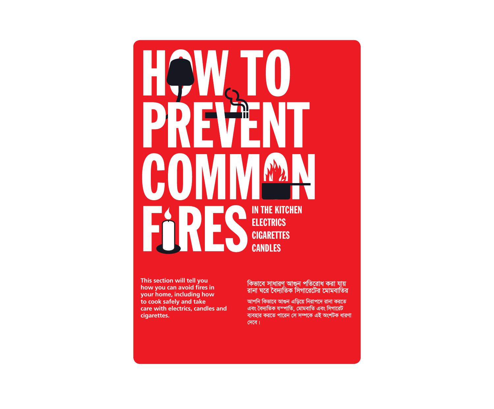# **IN THE KITCHEN ELECTRICS** CIGARETTES **CANDLES**

This section will tell you how you can avoid fires in your home, including how to cook safely and take care with electrics, candles and cigarettes.

কিভাবে সাধারণ আগুন পতিরোধ করা যায়<br>রানা ঘরে বৈদ্যতিক সিগারেটের মোমবাতির

আপনি কিভাবে আগুন এডিয়ে নিরাপদে রানা করতে এবং বৈদ্যতিক যম্পাতি, মোমবাতি এবং সিগারেট ব্যবহার করতে পারেন সে সম্পকে এই অংশটক ধারণা  $G$ দেবে।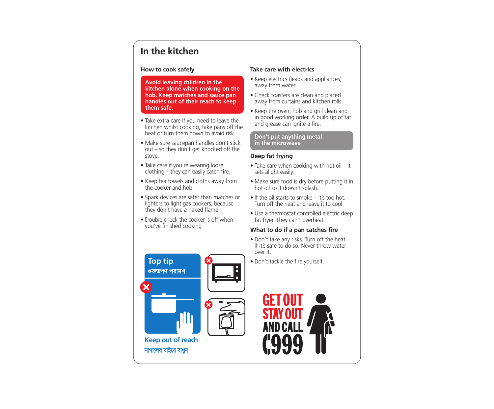## **In the kitchen**

**Example 12**<br> **Example 2013**<br> **Example 2013**<br> **Examples out of their handles out of their safe.**<br>
• Take extra care if you kitchen whilst cookin heat or turn them do<br>
• Make sure saucepan<br>
out – so they don't get<br>
stove.<br> **Avoid leaving children in the kitchen alone when cooking on the hob. Keep matches and sauce pan handles out of their reach to keep them safe.** 

- Take extra care if you need to leave the kitchen whilst cooking, take pans off the heat or turn them down to avoid risk.
- Make sure saucepan handles don't stick out – so they don't get knocked off the stove.
- Take care if you're wearing loose clothing – they can easily catch fire.
- Keep tea towels and cloths away from the cooker and hob.
- Spark devices are safer than matches or lighters to light gas cookers, because they don't have a naked flame.
- Double check the cooker is off when you've finished cooking



*<i>a***lviceds** diseased and

#### **Take care with electrics**

- Keep electrics (leads and appliances) away from water.
- Check toasters are clean and placed away from curtains and kitchen rolls.
- Keep the oven, hob and grill clean and in good working order. A build up of fat and grease can ignite a fire.

#### **Don't put anything metal in the microwave**

#### **Deep fat frying**

- Take care when cooking with hot oil it sets alight easily.
- Make sure food is dry before putting it in hot oil so it doesn't splash.
- If the oil starts to smoke it's too hot. Turn off the heat and leave it to cool.
- Use a thermostat controlled electric deep fat fryer. They can't overheat.

#### **What to do if a pan catches fire**

- Don't take any risks. Turn off the heat if it's safe to do so. Never throw water over it.
- Don't tackle the fire yourself.

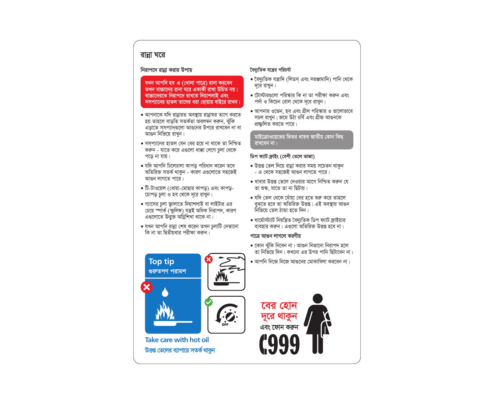#### রারা ঘরে

#### নিরাপদে রান্না করার উপায়

যখন আপনি হব এ (খোলা পাত্রে) রানা করবেন তখন বাচ্চাদের রানা ঘরে একাকী রাখা উচিত নয়। বাচ্চাদেরকে নিরাপদে রাখতে দিয়াশলাই এবং সসপ্যানের হাতল তাদের ধরা ছোয়ার বাইরে রাখন।

- আপনাকে যদি রান্নারত অবস্তায় রান্নাঘর ত্যাগ করতে হয় তাহলে বাডতি সতর্কতা অবলম্বন করুন, ঝঁকি এডাতে সসপ্যানগুলো আগুনের উপরে রাখবেন না বা আগুন নিভিয়ে রাখন।
- সসমপ্যানের হাতল যেন বের হয়ে না থাকে তা নিশ্চিত করন্দ - যাতে করে এগুলো ধাক্কা লেগে চুলা থেকে পডে না যায়।
- যদি আপনি ঢিলেঢালা কাপড পরিধান করেন তবে অতিরিক্ত সতর্ক থাকন - কারণ এগুলোতে সহজেই আগুন লাগতে পাবে।
- টি-টাওয়েল (ধোয়া-মোছার কাপড়) এবং কাপড়-চোপড চলা ও হব থেকে দরে রাখন।
- গ্যাসের চুলা জ্গালাতে দিয়াশলাই বা লাইটার এর চেয়ে স্পার্ক (স্ফলিঙ্গ) যন্ত্রই অধিক নিরাপদ কারণ এগুলোতে উন্মুক্ত অগ্নিশিখা থাকে না।
- যখন আপনি রান্না শেষ করেন তখন চলাটি নেভানো কি না তা দ্বিতীয়বার পরীক্ষা করুন।

#### বৈদ্যতিক যন্ত্রের পরিচর্যা

- বৈদ্যতিক যন্ত্রাদি (লিডস এবং সরঞ্জামাদি) পানি থেকে দরে রাখুন।
- টোস্টারগুলো পরিস্কার কি না তা পরীক্ষা করুন এবং পর্দা ও কিচেন রোল থেকে দরে রাখন।
- আপনার ওভেন, হব এবং গ্রীল পরিস্কার ও ভালোভাবে সচল রাখন। জমে উঠা চর্বি এবং গ্রীজ আগুনকে প্রজ্জলিত করতে পারে।

মাইক্রোওয়েভের ভিতর ধাতব জাতীয় কোন কিছ রাখবেন না।

#### ডিপ ফ্যাট ফ্ৰাইং (বেশী তেলে ভাজা)

- উত্তপ্ত তেল দিয়ে রান্না করার সময় সচেতন থাকুন - এ থেকে সহজেই আগুন লাগতে পারে।
- খাবার উত্তপ্ত তেলে দেওয়ার আগে নিশ্চিত করুন যে তা শুস্ক, যাতে তা না ছিটায়।
- যদি তেল থেকে ধোঁয়া বের হতে শুরু করে তাহলে বঝতে হবে তা অতিৱিক্ত উত্তপ্ত। এই অবস্থায় আঞ্চন নিভিয়ে তেল ঠাডা হতে দিন।
- থাৰ্মোস্ট্যাট নিয়ন্ত্ৰিত বৈদ্যতিক ডিপ ফ্যাট ফ্ৰাইয়ার ব্যবহার করুন। এগুলো অতিরিক্ত উত্তপ্ত হবে না।

#### পাত্রে আগুন লাগলে করণীয়

- কোন ঝঁকি নিবেন না। আগুন নিভানো নিরাপদ হলে তী নিষ্ঠিয়ে দিন। কখনো এর উপর পানি ছিটাবেন না।
- $\bullet$  আপনি নিজে নিজে আগুনের মোকাবিলা করবেন না।





Take care with hot oil উত্তপ্ত তেলের ব্যাপারে সতর্ক থাকুন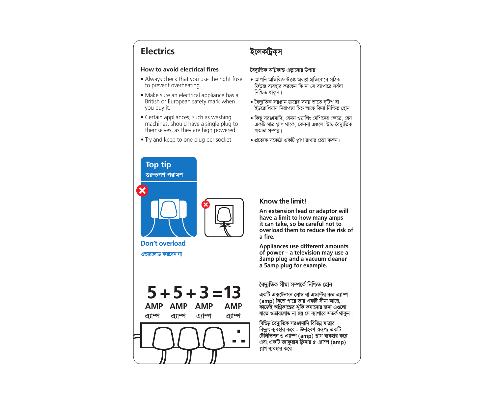## **Flectrics**

#### How to avoid electrical fires

- Always check that you use the right fuse to prevent overheating.
- Make sure an electrical appliance has a British or European safety mark when vou buv it.
- Certain appliances, such as washing machines, should have a single plug to themselves, as they are high powered.
- Try and keep to one plug per socket.

## ইলেকটিকস

#### বৈদ্যতিক অগ্নিকান্ড এডানোর উপায়

- আপনি অতিরিক্ত উত্তপ্ত অবস্থা প্রতিরোধে সঠিক ফিউজ ব্যবহার করছেন কি না সে ব্যাপারে সর্বদা নিশ্চিত থাকন।
- বৈদ্যুতিক সরঞ্জাম ক্রয়ের সময় তাতে বটিশ বা ইউরোপিয়ান নিরাপত্তা চিহ্ন আছে কিনা নিশ্চিত হোন।
- কিছ সরঞ্জামাদি, যেমন ওয়াশিং মেশিনের ক্ষেত্রে, যেন একটি মাত্র প্লাগ থাকে, কেননা এগুলো উচ্চ বৈদ্যতিক ক্ষমতা সম্পন্ন।
- প্রত্যেক সকেটে একটি প্লাগ রাখার চেষ্টা করুন।

 $5 + 5 + 3 = 13$ 

**AMP** 

এ্যাম্প

**AMP** 

এ্যাম্প

**AMP** 

এ্যাম্প

## **Don't overload**

**Top tip** গুরুতপণ পরামশ

 $\bm{\times}$ 

ওভাৱলোড কৱবেন না

**AMP** 

ঞ্জাম্প

### **Know the limit!**

An extension lead or adaptor will have a limit to how many amps it can take, so be careful not to overload them to reduce the risk of a fire

**Appliances use different amounts** of power - a television may use a 3amp plug and a vacuum cleaner a 5amp plug for example.

#### বৈদ্যতিক সীমা সম্পৰ্কে নিশ্চিত হোন

একটি এক্সটেনসন লোড বা এডাপ্টর কত এ্যাম্প (amp) নিতে পারে তার একটি সীমা আছে. কাজেই অগ্নিকান্ডের ঝুঁকি কমানোর জন্য এগুঁলো যাতে ওভারলোড না হয় সে ব্যাপারে সতর্ক থাকন।

বিভিন্ন বৈদ্যুতিক সরঞ্জামাদি বিভিন্ন মাত্রার বিদ্যৎ ব্যবহার করে - উদাহরণ স্বরূপ; একটি টেলিভিশন ৩ এ্যাম্প (amp) প্লাগ ব্যবহার করে এবং একটি ভ্যাকয়াম ক্লিনার  $\alpha$  এ্যাম্প (amp) প্রাগ ব্যবহার করে।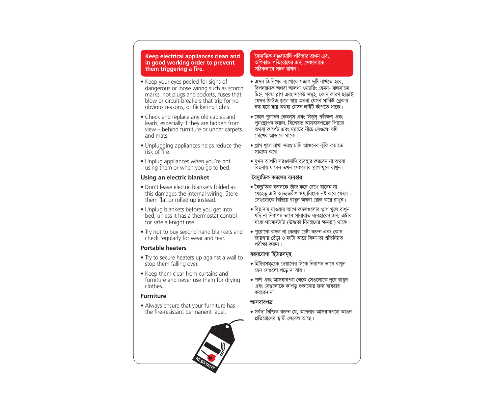#### **Keep electrical appliances clean and in good working order to prevent them triggering a fire.**

- Keep your eyes peeled for signs of dangerous or loose wiring such as scorch marks, hot plugs and sockets, fuses that blow or circuit-breakers that trip for no obvious reasons, or flickering lights.
- Check and replace any old cables and leads, especially if they are hidden from view – behind furniture or under carpets and mats.
- Unplugging appliances helps reduce the risk of fire.
- Unplug appliances when you're not using them or when you go to bed.

#### **Using an electric blanket**

- Don't leave electric blankets folded as this damages the internal wiring. Store them flat or rolled up instead.
- Unplug blankets before you get into bed, unless it has a thermostat control for safe all-night use.
- Try not to buy second hand blankets and check regularly for wear and tear.

#### **Portable heaters**

- Try to secure heaters up against a wall to stop them falling over.
- Keep them clear from curtains and furniture and never use them for drying clothes.

#### **Furniture**

• Always ensure that your furniture has the fire-resistant permanent label.

#### *বৈদ্যাতক সঙ্জ*রামাদি পারস্কার রাখন এবং অাুগকান্ড পতিরোধের জন্য সেগুলোকে *y সঠিকভাবে সচল রা*খন।

- এসব জিনিষের ব্যাপারে সজাগ দৃষ্টি রাখতে হবে,<br> বিপদজনক অথবা আলগা ওয়্যারিং যেমন- ঝলসানো *wPý, Mig c v¬M Ges m‡KU mgn~, †Kvb KviY QvovB*  যেসব ফিউজ জলে যায় অথবা যেসব সার্কিট বেকার বন্ধ হয়ে যায় অথবা যেসব লাইট কাঁপতে থাকে।
- কোন পরাতন কেবলস এবং লিডস পরীক্ষণ এবং *প্*নঃস্থাপন করুন, বিশেষত আসবাবপত্রের পিছনে *A\_ev Kv‡cU © Ges g¨v‡Ui bx‡P †m¸‡jv hw`*  চোখের আডালে থাকে।
- প্লাগ খুলে রাখা সরঞ্জামাদি আগুনের ঝুঁকি কমাতে সাহায্য করে।
- যখন আপনি সরঞ্জামাদি ব্যবহার করবেন না অথবা *বিছনায় যাবেন তখন সেগুলোর প্লাগ খুলে রাখন।*

#### <u>বৈদ্যতিক কম্বলের ব্যবহার</u>

- $\bullet$  বৈদ্যুতিক কম্বলকে ভাঁজ করে রেখে যাবেন না যেহেতু এটা আভ্যন্তরীণ ওয়্যারিংকে নষ্ট করে ফেলে। সেগুলোকে বিছিয়ে রাখন অথবা রোল করে রাখন।
- বিছানায় যাওয়ার আগে কম্বলগুলোর প্লাগ খুলে রাখন *যদি না নিবাপদ ভাবে সাবাবাত ব্যবহারের জন্য এটার* মধ্যে থার্মেস্ট্যাট (উষ্ণতা নিয়ন্ত্রণের ক্ষমতা) থাকে।
- $\bullet$  পুরোনো কম্বল না কেনার চেষ্টা করুন এবং কোন *দ্জা*য়গায় ছেঁডা ও ফাটা আছে কিনা তা প্ৰতিনিয়ত পরীক্ষা করুন।

#### *বহন*যোগ্য হিটারসমূহ

- হিটারসমহকে দেয়ালের দিকে নিরাপদ ভাবে রাখন যেন সেণ্ডলো পডে না যায়।
- পর্দা এবং আসবাবপত্র থেকে সেগুলোকে দূরে রাখুন <u>এবং সেগুলোকে কাপড শুকানোর জন্য ব্যবহার</u> করবেন $\overline{ }$ া

#### **আসবাবপত্ৰ**

• সৰ্বদা নিশ্চিত করুন যে, আপনার আসবাবপত্রে আগুন প্রতিরোধের স্থায়ী লেবেল আছে।

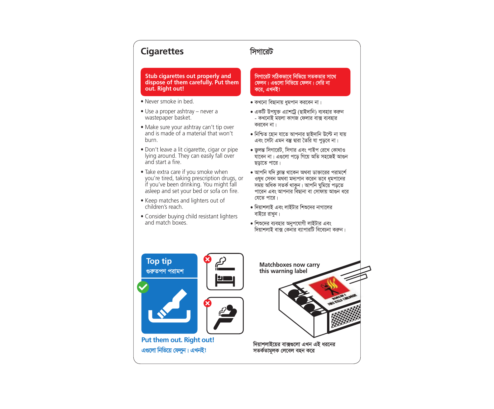## **Cigarettes**

#### **Stub cigarettes out properly and dispose of them carefully. Put them out. Right out!**

- Never smoke in bed.
- Use a proper ashtray never a wastepaper basket.
- Make sure your ashtray can't tip over and is made of a material that won't burn.
- Don't leave a lit cigarette, cigar or pipe lying around. They can easily fall over and start a fire.
- Take extra care if you smoke when you're tired, taking prescription drugs, or if you've been drinking. You might fall asleep and set your bed or sofa on fire.
- Keep matches and lighters out of children's reach.
- Consider buying child resistant lighters and match boxes.

## **সিগারেট**

#### *© ফেলন*। এগুলো নিভিয়ে ফেলন। দেরি না *<u>সিগারেট সঠিকভাবে নিভিয়ে সতকতার সাথে</u> K‡i, GLbB!*

- $\bullet$  কখনো বিছানায় ধুমপান করবেন না।
- একটি উপযুক্ত এ্যাশট্রে (ছাইদানি) ব্যবহার করুন<br>− কখনোই ময়লা কাগজ ফেলার বাক্স ব্যবহার করবেন $n$ ।
- নিশ্চিত হোন যাতে আপনার ছাইদানি উল্টে না যায় এবং সেটা এমন বস্তু দ্বারা তৈরি যা পডবে না।
- $\bullet$  জুলন্ত সিগারেট, সিগার এবং পাইপ রেখে কোথাও কীবেন না। এণ্ডলো পডে গিয়ে অতি সহজেই আগুন ছডাতে পারে।
- আপনি যদি ক্লান্ত থাকেন অথবা ডাক্তারের পরামর্শে *ও*ষধ সেবন অথবা মদ্যপান করেন তবে ধমপানের সময় অধিক সতৰ্ক থাকুন। আপনি ঘুমিয়ে পড়তে *cv‡ib Ges Avcbvi weQvbv ev †mvdvq Av¸b a‡i*  য়েতে পাৱে।
- দিয়াশলাই এবং লাইটার শিশুদের নাগালের বাইরে রাখন।
- শিশুদের ব্যবহার অনুপযোগী লাইটার এবং <u>দিয়াশলাই বাক্স কেনার ব্যাপারটি বিবেচনা করুন।</u>

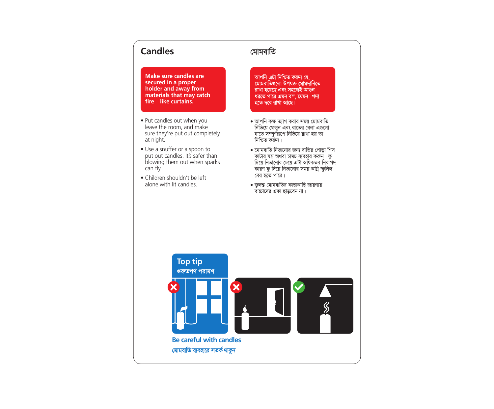## **Candles**

**– fire like curtains. Make sure candles are secured in a proper holder and away from materials that may catch** 

- Put candles out when you leave the room, and make sure they're put out completely at night.
- Use a snuffer or a spoon to put out candles. It's safer than blowing them out when sparks can fly.
- Children shouldn't be left alone with lit candles.

*†gvgevwZ* 

*y ধ*রতে পারে এমন বস্, যেমন পদা *~* স্মাপনি এটা নিশ্চিত কর<mark>ু</mark>ন যে,<br>মোমবাতিগুলো উপযক্ত মোমদানিতে *রাখা হয়েছে এবং সহজেই আগুন* হতে দরে রাখা আছে।

- আপনি কক্ষ ত্যাগ করার সময় মোমবাতি *নিভি*য়ে ফেলন এবং রাতের বেলা এগুলো যাতে সম্পৰ্ণরূপে নিভিয়ে রাখা হয় তা নিশ্চিত কৰ্ন্সন।
- মোমবাতি নিভানোর জন্য বাতির পোডা শিস কাটার যন্ত্র অথবা চামচ ব্যবহার করুন। ফ *দি*য়ে নিভানোর চেয়ে এটা অধিকতর নিরাপদ *কারণ ফু দি*য়ে নিভানোর সময় অগ্নি স্ফুলিঙ্গ বের হতে পারে।
- জুলন্ত মোমবাতির কাছাকাছি জায়গায় বাচ্চাদের একা ছাডবেন না।

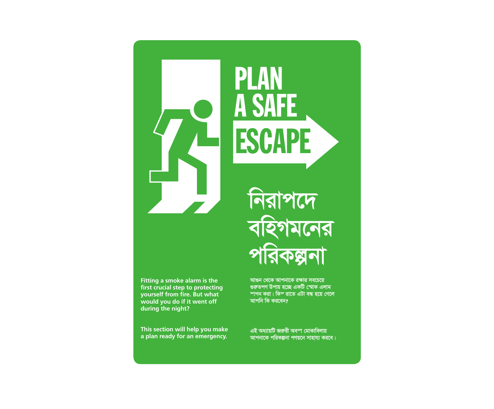

EScAPE PLAN A SAFE

> *© wbivc‡`*  <u>বহিগমনের</u> পরিকল্পনা

**Fitting a smoke alarm is the first crucial step to protecting yourself from fire. But what would you do if it went off during the night?** 

**This section will help you make a plan ready for an emergency.** 

গুরুতপণ উপায় হচ্ছে একটি স্মোক এলাম ম্পন করা। কিম্ রাতে এটা বন্ধ হয়ে গেলে *Av¸b †\_‡K Avcbv‡K i¶vi me‡P‡q*  <u>আপনি কি কববেন</u>গ

*' Ö* এই অধ্যায়টি জরুরী অবস্<sup>†</sup> মোকাবিলায় <u>*Avanco পৱিকল্পনা পৰ্ণয়নে সাহায্য করবে।</u></u>*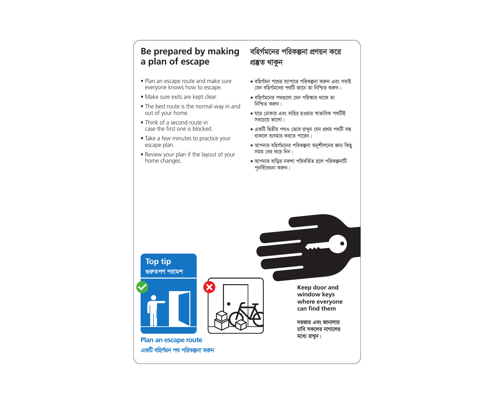## **Be prepared by making a plan of escape**

- Plan an escape route and make sure everyone knows how to escape.
- Make sure exits are kept clear.
- The best route is the normal way in and out of your home.
- Think of a second route in case the first one is blocked.
- Take a few minutes to practice your escape plan.
- Review your plan if the layout of your home changes.

## *বহি*র্গমনের পরিকল্পনা প্রণয়ন করে <u>প্ৰস্তুত থাকুন</u>

- বহিৰ্গমন পথের ব্যাপারে পরিকল্পনা করুন এবং সবাই য়েন বহিৰ্গমনের পথটি জানে তা নিশ্চিত করুন।
- বহির্গমনের পথগুলো যেন পরিস্কার থাকে তা নিশ্যিত করুন।
- $\bullet$  ঘরে ঢোকার এবং বাহির হওয়ার স্বাভাবিক পথটিই সবচেয়ে ভালো।
- $\bullet$  একটি দ্বিতীয় পথও ভেবে রাখন যেন প্রথম পথটি বন্ধ থাকলে ব্যবহার করতে পারেন।
- আপনার বহির্গমনের পরিকল্পনা অনুশীলনের জন্য কিছ সময় বের করে নিন।
- *Avcbvi evwoi bKkv cwiewZZ © n‡j cwiKíbvwU*  পনৰ্বিবেচনা ক<u>ৰুন।</u>

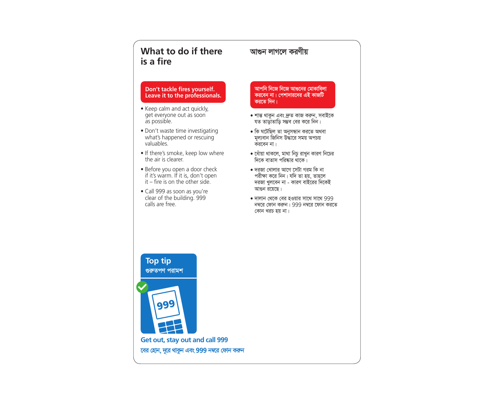## **What to do if there is a fire**

### **আগুন লাগলে কৱণীয**

#### **Don't tackle fires yourself. Leave it to the professionals.**

- Keep calm and act quickly, get everyone out as soon as possible.
- Don't waste time investigating what's happened or rescuing valuables.
- If there's smoke, keep low where the air is clearer.
- Before you open a door check if it's warm. If it is, don't open it – fire is on the other side.
- Call 999 as soon as you're clear of the building. 999 calls are free.

*আপ*নি নিজে নিজে আগুনের মোকাবিলা *করবে*ন না। পেশাদারদের এই কাজটি কব**তে দিন**।

- শান্ত থাকুন এবং দ্রুত কাজ করুন, সবাইকে যত তাডাতাডি সম্ভব বের করে নিন।
- কি ঘটেছিল তা অনুসন্ধান করতে অথবা *মল্যবান জিনিস উদ্ধা*রে সময় অপচয় করবেন $\overline{ }$ ।
- ধোঁয়া থাকলে, মাথা নিচু রাখুন কারণ নিচের  $\overline{r}$ দিকে বাতাস পরিষ্কার থাকে।
- দরজা খোলার আগে সেটা গরম কি না পরীক্ষা করে নিন। যদি তা হয়, তাহলে *দ*রজা খলবেন না - কারণ বাইরের দিকেই আগুন $\overline{a}$ য়েছে।
- দালান থেকে বের হওয়ার সাথে সাথে 999 নম্বরে ফোন করুন। 999 নম্বরে ফোন করতে কোন খরচ হয় না।

গুরুতপণ পরামশ

**Top tip** 

**Get out, stay out and call 999**   $\overline{r}$  **বের হোন, দরে থাকুন এবং 999 নম্বরে ফোন করুন**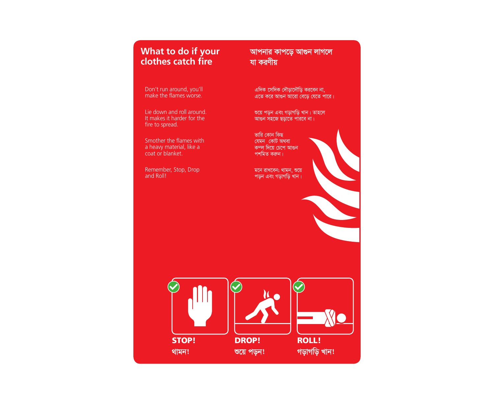## **What to do if your clothes catch fire**

Don't run around, you'll make the flames worse.

Lie down and roll around. It makes it harder for the fire to spread.

Smother the flames with a heavy material, like a coat or blanket.

Remember, Stop, Drop and Roll!

## <u> আপনার কাপড়ে আগুন লাগলে</u> *যা করণীয়*

<u>-</u> এদিক সেদিক দৌড়াদৌড়ি করবেন না, এতে করে আগুন আরো বেডে যেতে পারে।

শুয়ে পড়ন এবং গড়াগাড় খান। তাহলে আগুন সহজে ছডাতে পারবে না।

- ভারি কোন কিছ<br>- যেমন \_কোট অথবা **.** Ö *আ*রি কোন কিছ কম্ল দিয়ে চেপে আগুন পশমিত করুন।

– মনে রাখবেন; থামূন, শুয়ে – পডন এবং গডাগডি খান।

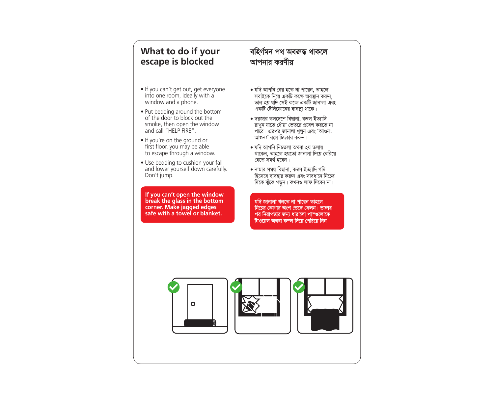## **What to do if your escape is blocked**

- If you can't get out, get everyone into one room, ideally with a window and a phone.
- Put bedding around the bottom of the door to block out the smoke, then open the window and call "HELP FIRE".
- If you're on the ground or first floor, you may be able to escape through a window.
- Use bedding to cushion your fall and lower yourself down carefully. Don't jump.

**If you can't open the window break the glass in the bottom corner. Make jagged edges safe with a towel or blanket.** 

## *বহি*ৰ্গমন পথ অবরুদ্ধ থাকলে **আপনাব কব**ণীয

- যদি আপনি বের হতে না পারেন, তাহলে<br> সবাইকে নিয়ে একটি কক্ষে অবস্থান করুন *mevB‡K wb‡q GKwU K‡¶ Ae¯v' b Ki"b, fvj nq hw` †mB K‡¶ GKwU Rvbvjv Ges*  একটি টেলিফোনের ব্যবস্থা থাকে।
- দরজার তলদেশে বিছানা কম্বল ইত্যাদি *রাখন যাতে ধোঁয়া ভেতরে প্রবেশ করতে না* পারে। এরপর জানালা খলন এবং 'আগুন! আঞ্চন!' বলে চিৎকাব কৰুন।
- যদি আপনি নিচতলা অথবা *২*য় তলায় *\_v‡Kb, Zvn‡j nq‡Zv Rvbvjv w`‡q †ewi‡q*  ।<br>যেতে সমৰ্থ *চ*বেন।
- নামার সময় বিছানা, কম্বল ইত্যাদি গদি *ছিসে*বে ব্যবহার কর্কন এবং সাবধানে নিচের  $\overline{\text{fr}}$ কে ঝঁকে পডন। কখনও লাফ দিবেন না।

*y y* <u>প</u>র নিরাপত্তার জন্য ধারালো পাৃন্গুলোকে টাওয়েল অথবা কম্ল দিয়ে পেচিয়ে নিন। *যদি জানালা খল*তে না পারেন তাহলে *শিচের কোণার অংশ ভেঙ্গে ফেলন। ভাঙ্গার* 



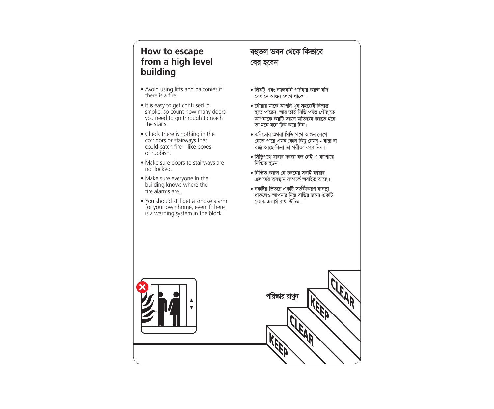## **How to escape from a high level building**

- Avoid using lifts and balconies if there is a fire.
- It is easy to get confused in smoke, so count how many doors you need to go through to reach the stairs.
- Check there is nothing in the corridors or stairways that could catch fire – like boxes or rubbish.
- Make sure doors to stairways are not locked.
- Make sure everyone in the building knows where the fire alarms are.
- You should still get a smoke alarm for your own home, even if there is a warning system in the block.

## *বহুতল ভবন থেকে কিভাবে †ei n‡eb*

- লিফট এবং ব্যালকনি পরিহার করুন যদি সেখানে আগুন লেগে থাকে।
- ধোঁয়ার মাঝে আপনি খব সহজেই বিভ্রান্ত হতে পারেন, আর তাই সিডি পর্যন্ত পৌছাতে *Avcbv‡K KqwU `iRv AwZµg Ki‡Z n‡e*  তা মনে মনে ঠিক কৰে নিন।
- করিডোর অথবা সিড়ি পথে আগুন *লে*গে *†h‡Z cv‡i Ggb †Kvb wKQy †hgb - ev· ev*  বৰ্জা আছে কিনা তা পরীক্ষা করে নিন।
- সিডিপথে যাবার দরজা বন্ধ নেই এ ব্যাপারে নিশ্চিত হউন।
- নিশ্চিত করুন যে ভবনের সবাই ফায়ার এলাৰ্মের অবস্থান সম্পৰ্কে অবহিত আছে।
- বকটির ভিতরে একটি সর্তকীকরণ ব্যবস্থা *থাকলেও আপ*নার নিজ বাডির জন্যে একটি <u>স্মোক এলাৰ্ম বাখা উচিত ।</u>

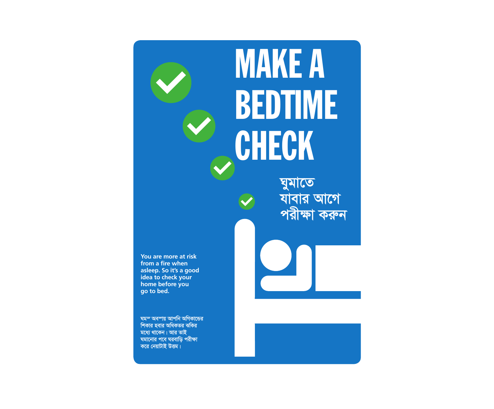## **MAKE A BEDTIME** CHECK

ঘুমাতে যাবার আগে পরীক্ষা করুন

You are more at risk from a fire when asleep. So it's a good idea to check your home before you go to bed.

ঘমন্দ অবস্থায় আপনি অগিকান্ডের শিকার হবার অধিকতর ঝকির মধ্যে থাকেন। আর তাই ঘমানোর পবে ঘরবাডি পরীক্ষা করে নেযাটাই উত্তম।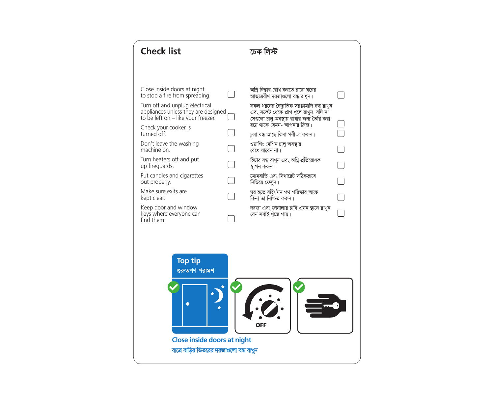| <b>Check list</b>                                                                                           | চেক লিস্ট                                                                                                                       |  |
|-------------------------------------------------------------------------------------------------------------|---------------------------------------------------------------------------------------------------------------------------------|--|
|                                                                                                             |                                                                                                                                 |  |
| Close inside doors at night<br>to stop a fire from spreading.                                               | অগ্নি বিস্তার রোধ করতে রাত্রে ঘরের<br>আভ্যন্তরীণ দরজাগুলো বন্ধ রাখুন।                                                           |  |
| Turn off and unplug electrical<br>appliances unless they are designed<br>to be left on – like your freezer. | সকল ধরনের বৈদ্যুতিক সরঞ্জামাদি বন্ধ রাখুন<br>এবং সকেট থেকে প্লাগ খুলে রাখুন, যদি না<br>সেগুলো চালু অবস্থায় রাখার জন্য তৈরি করা |  |
| Check your cooker is<br>turned off.                                                                         | হয়ে থাকে যেমন- আপনার ফ্রিজ।<br>চুলা বন্ধ আছে কিনা পরীক্ষা করুন।                                                                |  |
| Don't leave the washing<br>machine on.                                                                      | ওয়াশিং মেশিন চালু অবস্থায়<br>রেখে যাবেন না।                                                                                   |  |
| Turn heaters off and put<br>up fireguards.                                                                  | হিটার বন্ধ রাখুন এবং অগ্নি প্রতিরোধক<br>স্থাপন করুন।                                                                            |  |
| Put candles and cigarettes<br>out properly.                                                                 | মোমবাতি এবং সিগারেট সঠিকভাবে<br>নিভিয়ে ফেলুন।                                                                                  |  |
| Make sure exits are<br>kept clear.                                                                          | ঘর হতে বহির্গমন পথ পরিস্কার আছে<br>কিনা তা নিশ্চিত করুন।                                                                        |  |
| Keep door and window<br>keys where everyone can<br>find them.                                               | দরজা এবং জানালার চাবি এমন স্থানে রাখুন<br>যেন সবাই খুঁজে পায়।                                                                  |  |
|                                                                                                             |                                                                                                                                 |  |
|                                                                                                             |                                                                                                                                 |  |
| Top tip<br>গুরুতপণ পরামশ                                                                                    |                                                                                                                                 |  |

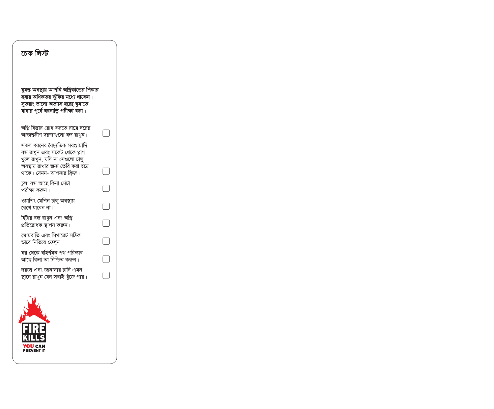

দরজা এবং জানালার চাবি এমন স্থানে রাখুন যেন সবাই খুঁজে পায়।

ঘর থেকে বহির্গমন পথ পরিস্কার আছে কিনা তা নিশ্চিত করুন।

মোমবাতি এবং সিগারেট সঠিক ভাবে নিভিয়ে ফেলুন।

হিটার বন্ধ রাখন এবং অগ্নি প্রতিরোধক স্থাপন করুন।

ওয়াশিং মেশিন চালু অবস্থায় রেখে যাবেন না।

চুলা বন্ধ আছে কিনা সেটা পরীক্ষা করুন।

সকল ধরনের বৈদ্যুতিক সরঞ্জামাদি বন্ধ রাখুন এবং সকেট থেকে প্লাগ খুলে রাখুন, যদি না সেগুলো চালু অবস্থায় রাখার জন্য তৈরি করা হয়ে থাকে। যেমন- আপনার ফ্রিজ।

অগ্নি বিস্তার রোধ করতে রাত্রে ঘরের আভ্যন্তরীণ দরজাগুলো বন্ধ রাখুন।

ঘুমন্ত অবস্থায় আপনি অগ্নিকান্ডের শিকার হবার অধিকতর ঝুঁকির মধ্যে থাকেন। সুতরাং ভালো অভ্যাস হচ্ছে ঘুমাতে যাবার পূর্বে ঘরবাড়ি পরীক্ষা করা।

চেক লিস্ট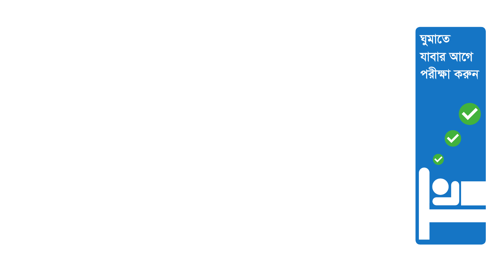## ঘুমাতে যাবার আগে পরীক্ষা করুন